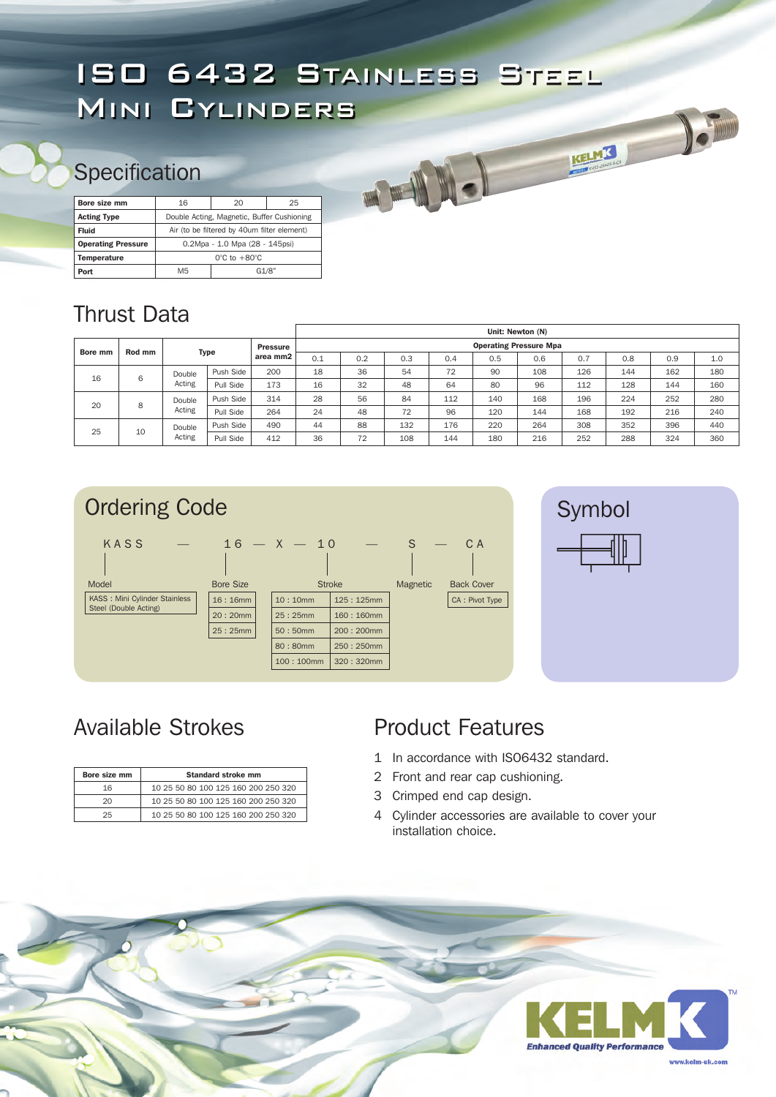# ISO 6432 Stainless Steel Mini Cylinders

# **Specification**

| Bore size mm              | 16                                          | 20    |  |  |  |  |  |  |
|---------------------------|---------------------------------------------|-------|--|--|--|--|--|--|
| <b>Acting Type</b>        | Double Acting, Magnetic, Buffer Cushioning  |       |  |  |  |  |  |  |
| Fluid                     | Air (to be filtered by 40um filter element) |       |  |  |  |  |  |  |
| <b>Operating Pressure</b> | 0.2Mpa - 1.0 Mpa (28 - 145psi)              |       |  |  |  |  |  |  |
| <b>Temperature</b>        | $0^{\circ}$ C to $+80^{\circ}$ C            |       |  |  |  |  |  |  |
| Port                      | M5                                          | G1/8" |  |  |  |  |  |  |

## Thrust Data

|         |        |                  |           |                             | Unit: Newton (N)              |     |     |     |     |     |     |     |     |     |  |
|---------|--------|------------------|-----------|-----------------------------|-------------------------------|-----|-----|-----|-----|-----|-----|-----|-----|-----|--|
| Bore mm | Rod mm | <b>Type</b>      |           | <b>Pressure</b><br>area mm2 | <b>Operating Pressure Mpa</b> |     |     |     |     |     |     |     |     |     |  |
|         |        |                  |           |                             | 0.1                           | 0.2 | 0.3 | 0.4 | 0.5 | 0.6 | 0.7 | 0.8 | 0.9 | 1.0 |  |
| 16      | 6      | Double<br>Acting | Push Side | 200                         | 18                            | 36  | 54  | 72  | 90  | 108 | 126 | 144 | 162 | 180 |  |
|         |        |                  | Pull Side | 173                         | 16                            | 32  | 48  | 64  | 80  | 96  | 112 | 128 | 144 | 160 |  |
| 20      | 8      | Double<br>Acting | Push Side | 314                         | 28                            | 56  | 84  | 112 | 140 | 168 | 196 | 224 | 252 | 280 |  |
|         |        |                  | Pull Side | 264                         | 24                            | 48  | 72  | 96  | 120 | 144 | 168 | 192 | 216 | 240 |  |
| 25      | 10     | Double<br>Acting | Push Side | 490                         | 44                            | 88  | 132 | 176 | 220 | 264 | 308 | 352 | 396 | 440 |  |
|         |        |                  | Pull Side | 412                         | 36                            | 72  | 108 | 144 | 180 | 216 | 252 | 288 | 324 | 360 |  |



KELMK

# Available Strokes

| Bore size mm | Standard stroke mm                  |  |  |  |  |  |  |  |  |  |  |
|--------------|-------------------------------------|--|--|--|--|--|--|--|--|--|--|
| 16           | 10 25 50 80 100 125 160 200 250 320 |  |  |  |  |  |  |  |  |  |  |
| 20           | 10 25 50 80 100 125 160 200 250 320 |  |  |  |  |  |  |  |  |  |  |
| 25           | 10 25 50 80 100 125 160 200 250 320 |  |  |  |  |  |  |  |  |  |  |

### Product Features

- 1 In accordance with ISO6432 standard.
- 2 Front and rear cap cushioning.
- 3 Crimped end cap design.
- 4 Cylinder accessories are available to cover your installation choice.